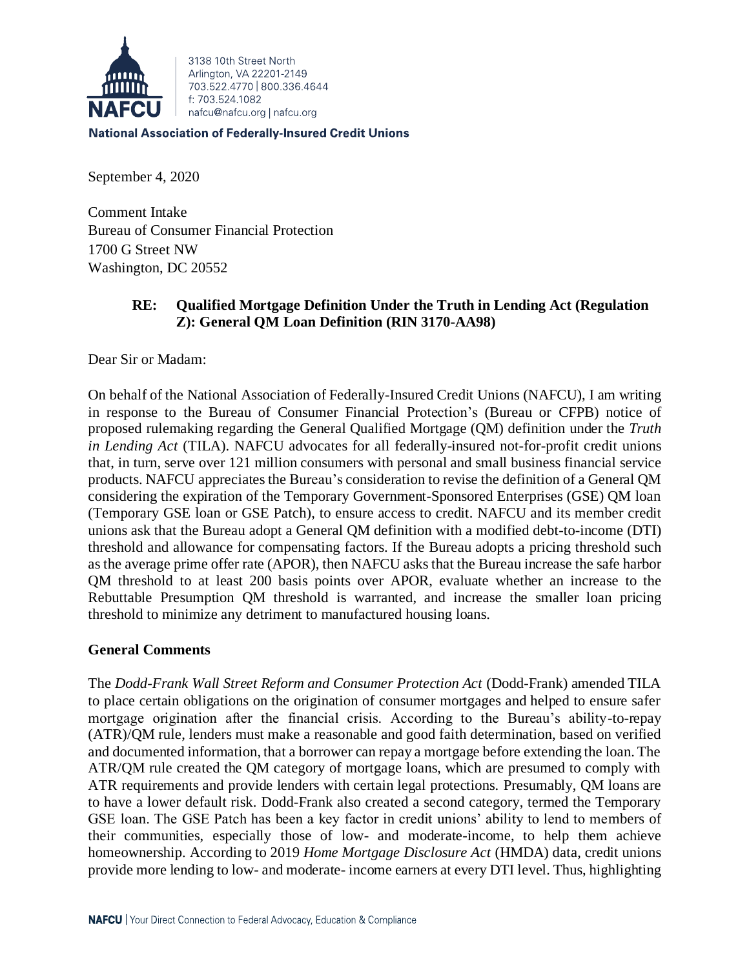

3138 10th Street North Arlington, VA 22201-2149 703 522 4770 800 336 4644 f: 703.524.1082 nafcu@nafcu.org | nafcu.org

**National Association of Federally-Insured Credit Unions** 

September 4, 2020

Comment Intake Bureau of Consumer Financial Protection 1700 G Street NW Washington, DC 20552

# **RE: Qualified Mortgage Definition Under the Truth in Lending Act (Regulation Z): General QM Loan Definition (RIN 3170-AA98)**

Dear Sir or Madam:

On behalf of the National Association of Federally-Insured Credit Unions (NAFCU), I am writing in response to the Bureau of Consumer Financial Protection's (Bureau or CFPB) notice of proposed rulemaking regarding the General Qualified Mortgage (QM) definition under the *Truth in Lending Act* (TILA). NAFCU advocates for all federally-insured not-for-profit credit unions that, in turn, serve over 121 million consumers with personal and small business financial service products. NAFCU appreciates the Bureau's consideration to revise the definition of a General OM considering the expiration of the Temporary Government-Sponsored Enterprises (GSE) QM loan (Temporary GSE loan or GSE Patch), to ensure access to credit. NAFCU and its member credit unions ask that the Bureau adopt a General QM definition with a modified debt-to-income (DTI) threshold and allowance for compensating factors. If the Bureau adopts a pricing threshold such as the average prime offer rate (APOR), then NAFCU asks that the Bureau increase the safe harbor QM threshold to at least 200 basis points over APOR, evaluate whether an increase to the Rebuttable Presumption QM threshold is warranted, and increase the smaller loan pricing threshold to minimize any detriment to manufactured housing loans.

# **General Comments**

The *Dodd-Frank Wall Street Reform and Consumer Protection Act* (Dodd-Frank) amended TILA to place certain obligations on the origination of consumer mortgages and helped to ensure safer mortgage origination after the financial crisis. According to the Bureau's ability-to-repay (ATR)/QM rule, lenders must make a reasonable and good faith determination, based on verified and documented information, that a borrower can repay a mortgage before extending the loan. The ATR/QM rule created the QM category of mortgage loans, which are presumed to comply with ATR requirements and provide lenders with certain legal protections. Presumably, QM loans are to have a lower default risk. Dodd-Frank also created a second category, termed the Temporary GSE loan. The GSE Patch has been a key factor in credit unions' ability to lend to members of their communities, especially those of low- and moderate-income, to help them achieve homeownership. According to 2019 *Home Mortgage Disclosure Act* (HMDA) data, credit unions provide more lending to low- and moderate- income earners at every DTI level. Thus, highlighting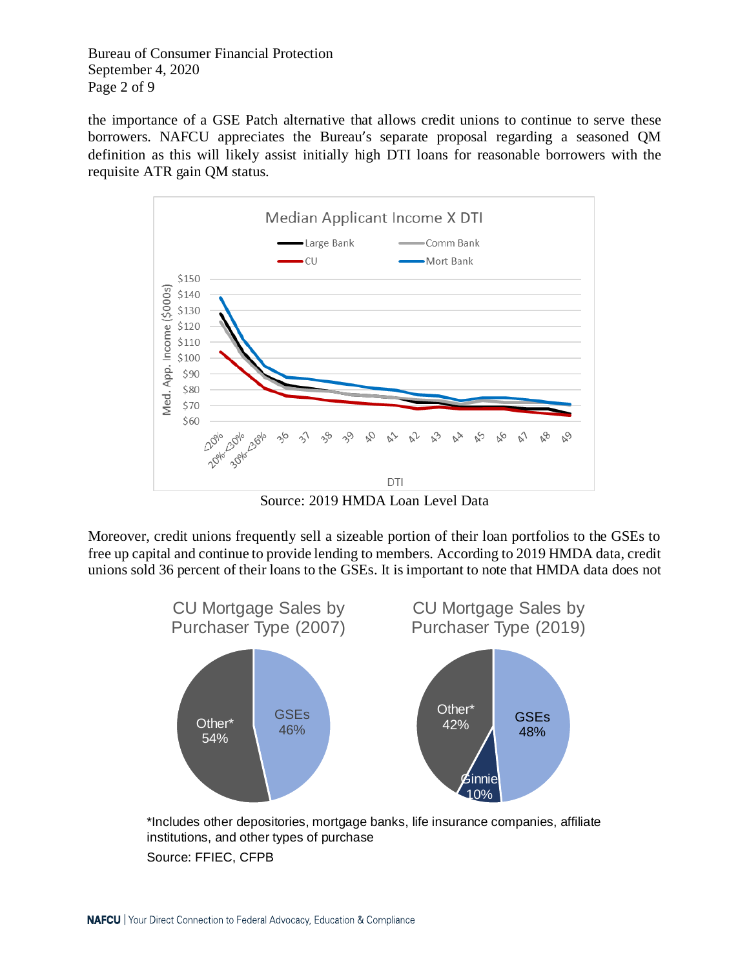Bureau of Consumer Financial Protection September 4, 2020 Page 2 of 9

the importance of a GSE Patch alternative that allows credit unions to continue to serve these borrowers. NAFCU appreciates the Bureau's separate proposal regarding a seasoned QM definition as this will likely assist initially high DTI loans for reasonable borrowers with the requisite ATR gain QM status.



Source: 2019 HMDA Loan Level Data

Moreover, credit unions frequently sell a sizeable portion of their loan portfolios to the GSEs to free up capital and continue to provide lending to members. According to 2019 HMDA data, credit unions sold 36 percent of their loans to the GSEs. It is important to note that HMDA data does not



\*Includes other depositories, mortgage banks, life insurance companies, affiliate institutions, and other types of purchase Source: FFIEC, CFPB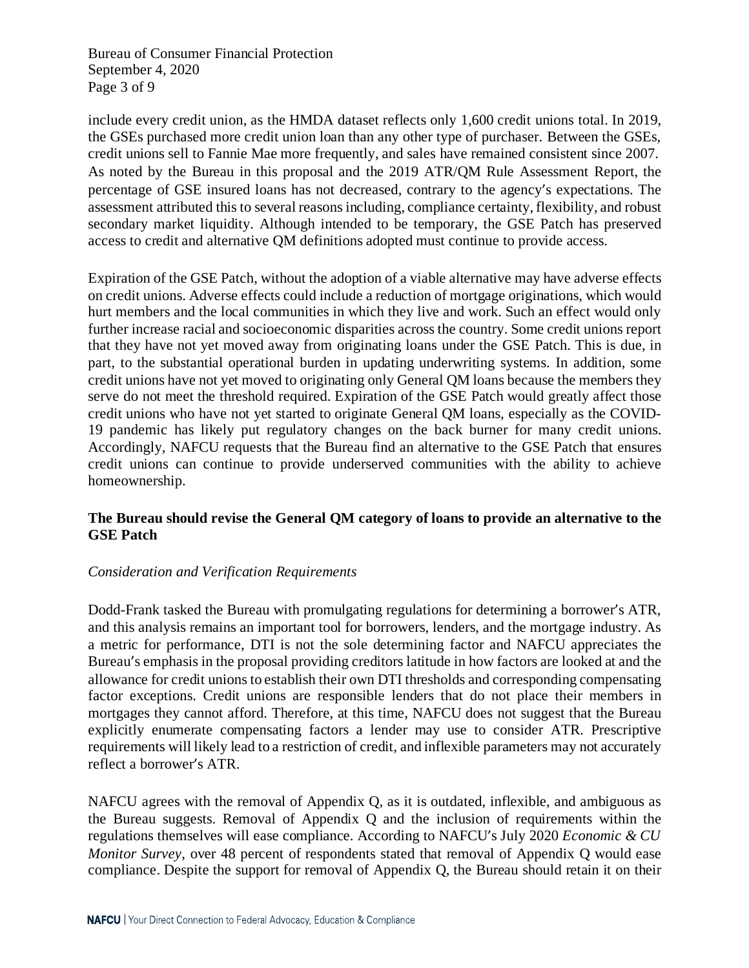Bureau of Consumer Financial Protection September 4, 2020 Page 3 of 9

include every credit union, as the HMDA dataset reflects only 1,600 credit unions total. In 2019, the GSEs purchased more credit union loan than any other type of purchaser. Between the GSEs, credit unions sell to Fannie Mae more frequently, and sales have remained consistent since 2007. As noted by the Bureau in this proposal and the 2019 ATR/QM Rule Assessment Report, the percentage of GSE insured loans has not decreased, contrary to the agency's expectations. The assessment attributed this to several reasons including, compliance certainty, flexibility, and robust secondary market liquidity. Although intended to be temporary, the GSE Patch has preserved access to credit and alternative QM definitions adopted must continue to provide access.

Expiration of the GSE Patch, without the adoption of a viable alternative may have adverse effects on credit unions. Adverse effects could include a reduction of mortgage originations, which would hurt members and the local communities in which they live and work. Such an effect would only further increase racial and socioeconomic disparities across the country. Some credit unions report that they have not yet moved away from originating loans under the GSE Patch. This is due, in part, to the substantial operational burden in updating underwriting systems. In addition, some credit unions have not yet moved to originating only General QM loans because the members they serve do not meet the threshold required. Expiration of the GSE Patch would greatly affect those credit unions who have not yet started to originate General QM loans, especially as the COVID-19 pandemic has likely put regulatory changes on the back burner for many credit unions. Accordingly, NAFCU requests that the Bureau find an alternative to the GSE Patch that ensures credit unions can continue to provide underserved communities with the ability to achieve homeownership.

# **The Bureau should revise the General QM category of loans to provide an alternative to the GSE Patch**

# *Consideration and Verification Requirements*

Dodd-Frank tasked the Bureau with promulgating regulations for determining a borrower's ATR, and this analysis remains an important tool for borrowers, lenders, and the mortgage industry. As a metric for performance, DTI is not the sole determining factor and NAFCU appreciates the Bureau's emphasis in the proposal providing creditors latitude in how factors are looked at and the allowance for credit unions to establish their own DTI thresholds and corresponding compensating factor exceptions. Credit unions are responsible lenders that do not place their members in mortgages they cannot afford. Therefore, at this time, NAFCU does not suggest that the Bureau explicitly enumerate compensating factors a lender may use to consider ATR. Prescriptive requirements will likely lead to a restriction of credit, and inflexible parameters may not accurately reflect a borrower's ATR.

NAFCU agrees with the removal of Appendix Q, as it is outdated, inflexible, and ambiguous as the Bureau suggests. Removal of Appendix Q and the inclusion of requirements within the regulations themselves will ease compliance. According to NAFCU's July 2020 *Economic & CU Monitor Survey*, over 48 percent of respondents stated that removal of Appendix Q would ease compliance. Despite the support for removal of Appendix Q, the Bureau should retain it on their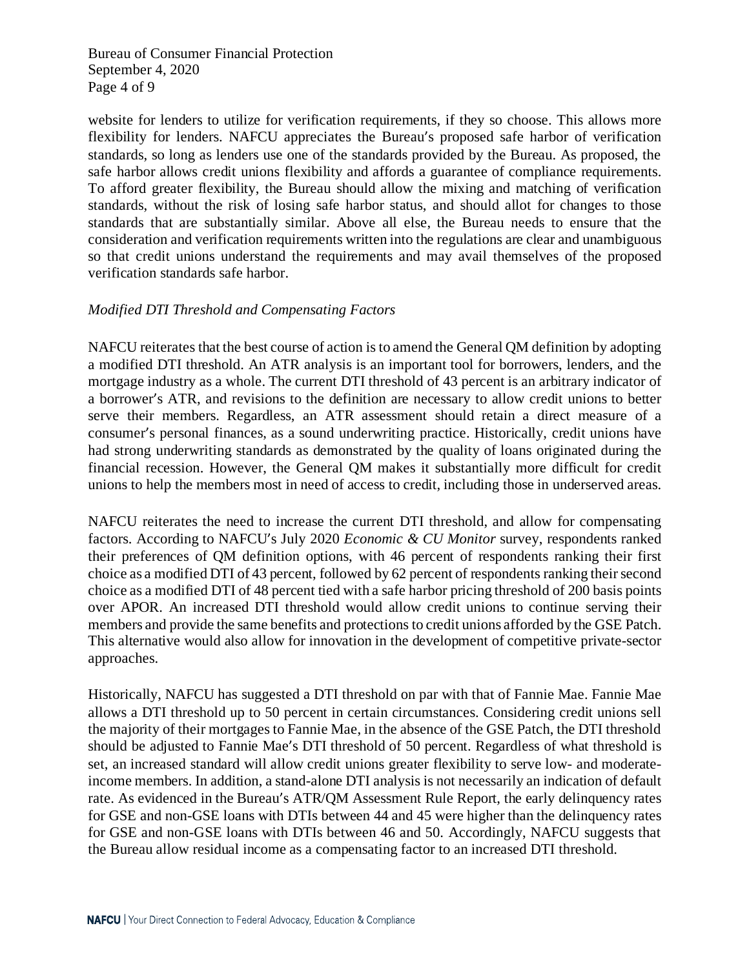Bureau of Consumer Financial Protection September 4, 2020 Page 4 of 9

website for lenders to utilize for verification requirements, if they so choose. This allows more flexibility for lenders. NAFCU appreciates the Bureau's proposed safe harbor of verification standards, so long as lenders use one of the standards provided by the Bureau. As proposed, the safe harbor allows credit unions flexibility and affords a guarantee of compliance requirements. To afford greater flexibility, the Bureau should allow the mixing and matching of verification standards, without the risk of losing safe harbor status, and should allot for changes to those standards that are substantially similar. Above all else, the Bureau needs to ensure that the consideration and verification requirements written into the regulations are clear and unambiguous so that credit unions understand the requirements and may avail themselves of the proposed verification standards safe harbor.

### *Modified DTI Threshold and Compensating Factors*

NAFCU reiterates that the best course of action isto amend the General QM definition by adopting a modified DTI threshold. An ATR analysis is an important tool for borrowers, lenders, and the mortgage industry as a whole. The current DTI threshold of 43 percent is an arbitrary indicator of a borrower's ATR, and revisions to the definition are necessary to allow credit unions to better serve their members. Regardless, an ATR assessment should retain a direct measure of a consumer's personal finances, as a sound underwriting practice. Historically, credit unions have had strong underwriting standards as demonstrated by the quality of loans originated during the financial recession. However, the General QM makes it substantially more difficult for credit unions to help the members most in need of access to credit, including those in underserved areas.

NAFCU reiterates the need to increase the current DTI threshold, and allow for compensating factors. According to NAFCU's July 2020 *Economic & CU Monitor* survey, respondents ranked their preferences of QM definition options, with 46 percent of respondents ranking their first choice as a modified DTI of 43 percent, followed by 62 percent of respondents ranking their second choice as a modified DTI of 48 percent tied with a safe harbor pricing threshold of 200 basis points over APOR. An increased DTI threshold would allow credit unions to continue serving their members and provide the same benefits and protections to credit unions afforded by the GSE Patch. This alternative would also allow for innovation in the development of competitive private-sector approaches.

Historically, NAFCU has suggested a DTI threshold on par with that of Fannie Mae. Fannie Mae allows a DTI threshold up to 50 percent in certain circumstances. Considering credit unions sell the majority of their mortgages to Fannie Mae, in the absence of the GSE Patch, the DTI threshold should be adjusted to Fannie Mae's DTI threshold of 50 percent. Regardless of what threshold is set, an increased standard will allow credit unions greater flexibility to serve low- and moderateincome members. In addition, a stand-alone DTI analysis is not necessarily an indication of default rate. As evidenced in the Bureau's ATR/QM Assessment Rule Report, the early delinquency rates for GSE and non-GSE loans with DTIs between 44 and 45 were higher than the delinquency rates for GSE and non-GSE loans with DTIs between 46 and 50. Accordingly, NAFCU suggests that the Bureau allow residual income as a compensating factor to an increased DTI threshold.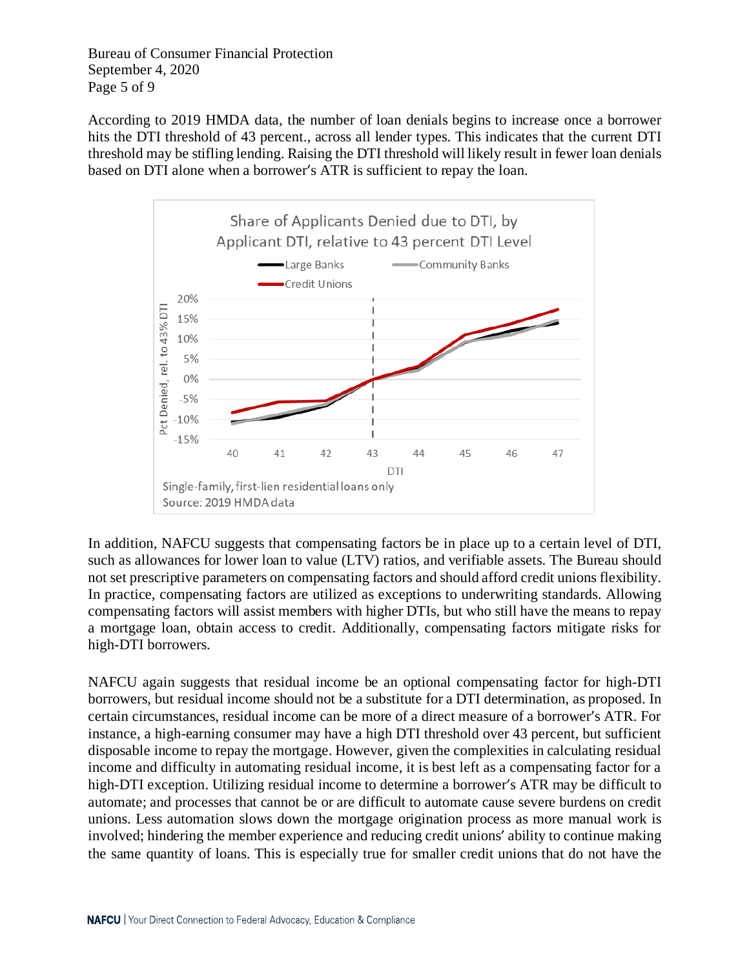Bureau of Consumer Financial Protection September 4, 2020 Page 5 of 9

According to 2019 HMDA data, the number of loan denials begins to increase once a borrower hits the DTI threshold of 43 percent., across all lender types. This indicates that the current DTI threshold may be stifling lending. Raising the DTI threshold will likely result in fewer loan denials based on DTI alone when a borrower's ATR is sufficient to repay the loan.



In addition, NAFCU suggests that compensating factors be in place up to a certain level of DTI, such as allowances for lower loan to value (LTV) ratios, and verifiable assets. The Bureau should not set prescriptive parameters on compensating factors and should afford credit unions flexibility. In practice, compensating factors are utilized as exceptions to underwriting standards. Allowing compensating factors will assist members with higher DTIs, but who still have the means to repay a mortgage loan, obtain access to credit. Additionally, compensating factors mitigate risks for high-DTI borrowers.

NAFCU again suggests that residual income be an optional compensating factor for high-DTI borrowers, but residual income should not be a substitute for a DTI determination, as proposed. In certain circumstances, residual income can be more of a direct measure of a borrower's ATR. For instance, a high-earning consumer may have a high DTI threshold over 43 percent, but sufficient disposable income to repay the mortgage. However, given the complexities in calculating residual income and difficulty in automating residual income, it is best left as a compensating factor for a high-DTI exception. Utilizing residual income to determine a borrower's ATR may be difficult to automate; and processes that cannot be or are difficult to automate cause severe burdens on credit unions. Less automation slows down the mortgage origination process as more manual work is involved; hindering the member experience and reducing credit unions' ability to continue making the same quantity of loans. This is especially true for smaller credit unions that do not have the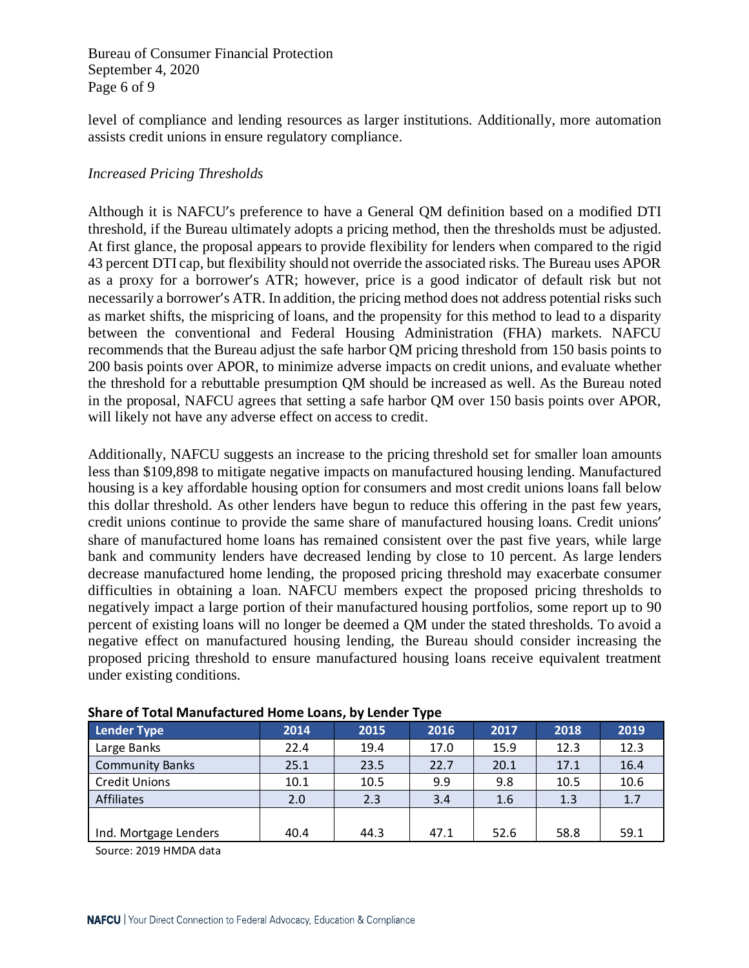Bureau of Consumer Financial Protection September 4, 2020 Page 6 of 9

level of compliance and lending resources as larger institutions. Additionally, more automation assists credit unions in ensure regulatory compliance.

### *Increased Pricing Thresholds*

Although it is NAFCU's preference to have a General QM definition based on a modified DTI threshold, if the Bureau ultimately adopts a pricing method, then the thresholds must be adjusted. At first glance, the proposal appears to provide flexibility for lenders when compared to the rigid 43 percent DTI cap, but flexibility should not override the associated risks. The Bureau uses APOR as a proxy for a borrower's ATR; however, price is a good indicator of default risk but not necessarily a borrower's ATR. In addition, the pricing method does not address potential risks such as market shifts, the mispricing of loans, and the propensity for this method to lead to a disparity between the conventional and Federal Housing Administration (FHA) markets. NAFCU recommends that the Bureau adjust the safe harbor QM pricing threshold from 150 basis points to 200 basis points over APOR, to minimize adverse impacts on credit unions, and evaluate whether the threshold for a rebuttable presumption QM should be increased as well. As the Bureau noted in the proposal, NAFCU agrees that setting a safe harbor QM over 150 basis points over APOR, will likely not have any adverse effect on access to credit.

Additionally, NAFCU suggests an increase to the pricing threshold set for smaller loan amounts less than \$109,898 to mitigate negative impacts on manufactured housing lending. Manufactured housing is a key affordable housing option for consumers and most credit unions loans fall below this dollar threshold. As other lenders have begun to reduce this offering in the past few years, credit unions continue to provide the same share of manufactured housing loans. Credit unions' share of manufactured home loans has remained consistent over the past five years, while large bank and community lenders have decreased lending by close to 10 percent. As large lenders decrease manufactured home lending, the proposed pricing threshold may exacerbate consumer difficulties in obtaining a loan. NAFCU members expect the proposed pricing thresholds to negatively impact a large portion of their manufactured housing portfolios, some report up to 90 percent of existing loans will no longer be deemed a QM under the stated thresholds. To avoid a negative effect on manufactured housing lending, the Bureau should consider increasing the proposed pricing threshold to ensure manufactured housing loans receive equivalent treatment under existing conditions.

| $\mathbf{r}$ .         |      |      |      |      |      |      |
|------------------------|------|------|------|------|------|------|
| Lender Type            | 2014 | 2015 | 2016 | 2017 | 2018 | 2019 |
| Large Banks            | 22.4 | 19.4 | 17.0 | 15.9 | 12.3 | 12.3 |
| <b>Community Banks</b> | 25.1 | 23.5 | 22.7 | 20.1 | 17.1 | 16.4 |
| <b>Credit Unions</b>   | 10.1 | 10.5 | 9.9  | 9.8  | 10.5 | 10.6 |
| <b>Affiliates</b>      | 2.0  | 2.3  | 3.4  | 1.6  | 1.3  | 1.7  |
|                        |      |      |      |      |      |      |
| Ind. Mortgage Lenders  | 40.4 | 44.3 | 47.1 | 52.6 | 58.8 | 59.1 |

#### **Share of Total Manufactured Home Loans, by Lender Type**

Source: 2019 HMDA data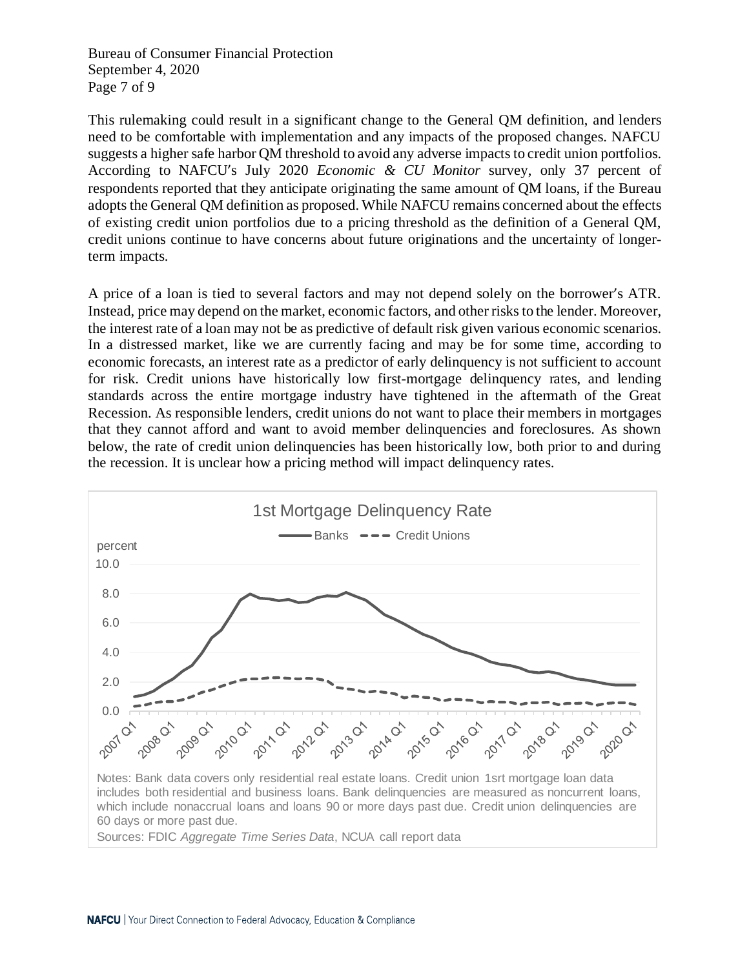Bureau of Consumer Financial Protection September 4, 2020 Page 7 of 9

This rulemaking could result in a significant change to the General QM definition, and lenders need to be comfortable with implementation and any impacts of the proposed changes. NAFCU suggests a higher safe harbor QM threshold to avoid any adverse impacts to credit union portfolios. According to NAFCU's July 2020 *Economic & CU Monitor* survey, only 37 percent of respondents reported that they anticipate originating the same amount of QM loans, if the Bureau adopts the General QM definition as proposed. While NAFCU remains concerned about the effects of existing credit union portfolios due to a pricing threshold as the definition of a General QM, credit unions continue to have concerns about future originations and the uncertainty of longerterm impacts.

A price of a loan is tied to several factors and may not depend solely on the borrower's ATR. Instead, price may depend on the market, economic factors, and other risks to the lender. Moreover, the interest rate of a loan may not be as predictive of default risk given various economic scenarios. In a distressed market, like we are currently facing and may be for some time, according to economic forecasts, an interest rate as a predictor of early delinquency is not sufficient to account for risk. Credit unions have historically low first-mortgage delinquency rates, and lending standards across the entire mortgage industry have tightened in the aftermath of the Great Recession. As responsible lenders, credit unions do not want to place their members in mortgages that they cannot afford and want to avoid member delinquencies and foreclosures. As shown below, the rate of credit union delinquencies has been historically low, both prior to and during the recession. It is unclear how a pricing method will impact delinquency rates.

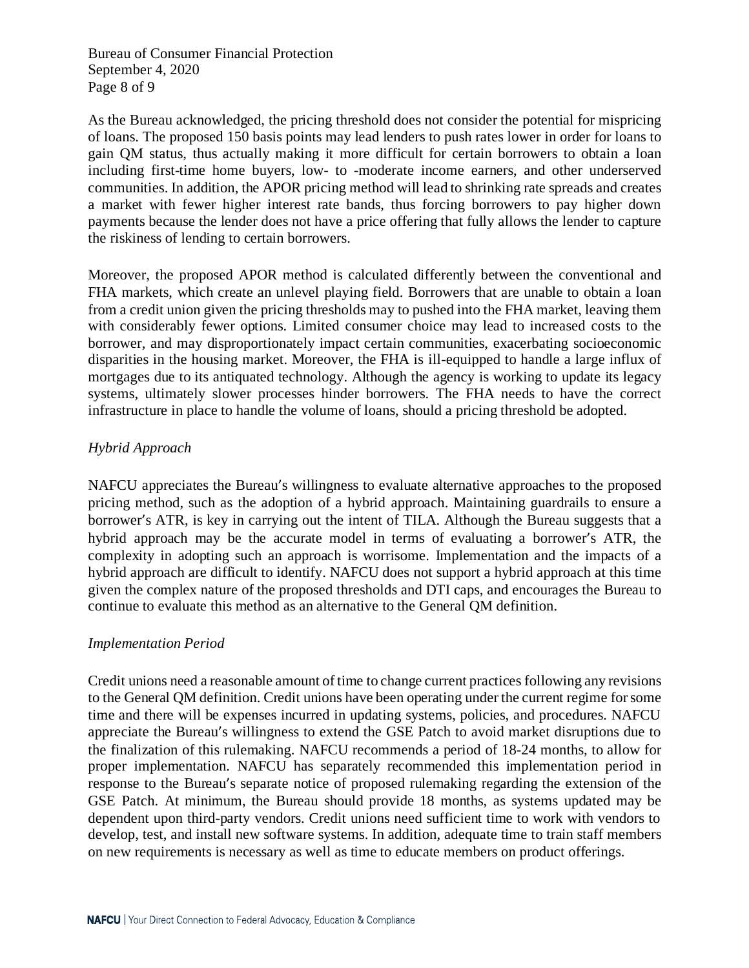Bureau of Consumer Financial Protection September 4, 2020 Page 8 of 9

As the Bureau acknowledged, the pricing threshold does not consider the potential for mispricing of loans. The proposed 150 basis points may lead lenders to push rates lower in order for loans to gain QM status, thus actually making it more difficult for certain borrowers to obtain a loan including first-time home buyers, low- to -moderate income earners, and other underserved communities. In addition, the APOR pricing method will lead to shrinking rate spreads and creates a market with fewer higher interest rate bands, thus forcing borrowers to pay higher down payments because the lender does not have a price offering that fully allows the lender to capture the riskiness of lending to certain borrowers.

Moreover, the proposed APOR method is calculated differently between the conventional and FHA markets, which create an unlevel playing field. Borrowers that are unable to obtain a loan from a credit union given the pricing thresholds may to pushed into the FHA market, leaving them with considerably fewer options. Limited consumer choice may lead to increased costs to the borrower, and may disproportionately impact certain communities, exacerbating socioeconomic disparities in the housing market. Moreover, the FHA is ill-equipped to handle a large influx of mortgages due to its antiquated technology. Although the agency is working to update its legacy systems, ultimately slower processes hinder borrowers. The FHA needs to have the correct infrastructure in place to handle the volume of loans, should a pricing threshold be adopted.

# *Hybrid Approach*

NAFCU appreciates the Bureau's willingness to evaluate alternative approaches to the proposed pricing method, such as the adoption of a hybrid approach. Maintaining guardrails to ensure a borrower's ATR, is key in carrying out the intent of TILA. Although the Bureau suggests that a hybrid approach may be the accurate model in terms of evaluating a borrower's ATR, the complexity in adopting such an approach is worrisome. Implementation and the impacts of a hybrid approach are difficult to identify. NAFCU does not support a hybrid approach at this time given the complex nature of the proposed thresholds and DTI caps, and encourages the Bureau to continue to evaluate this method as an alternative to the General QM definition.

# *Implementation Period*

Credit unions need a reasonable amount of time to change current practices following any revisions to the General QM definition. Credit unions have been operating under the current regime forsome time and there will be expenses incurred in updating systems, policies, and procedures. NAFCU appreciate the Bureau's willingness to extend the GSE Patch to avoid market disruptions due to the finalization of this rulemaking. NAFCU recommends a period of 18-24 months, to allow for proper implementation. NAFCU has separately recommended this implementation period in response to the Bureau's separate notice of proposed rulemaking regarding the extension of the GSE Patch. At minimum, the Bureau should provide 18 months, as systems updated may be dependent upon third-party vendors. Credit unions need sufficient time to work with vendors to develop, test, and install new software systems. In addition, adequate time to train staff members on new requirements is necessary as well as time to educate members on product offerings.